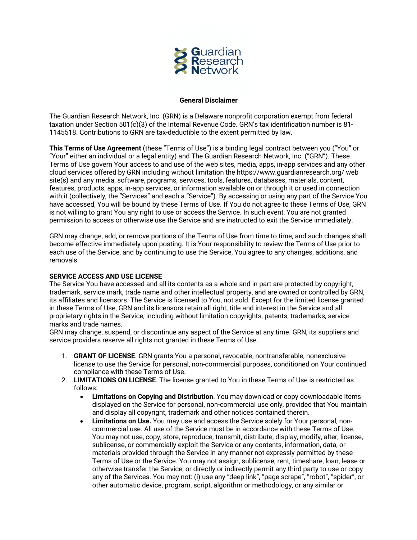

### **General Disclaimer**

The Guardian Research Network, Inc. (GRN) is a Delaware nonprofit corporation exempt from federal taxation under Section 501(c)(3) of the Internal Revenue Code. GRN's tax identification number is 81- 1145518. Contributions to GRN are tax-deductible to the extent permitted by law.

**This Terms of Use Agreement** (these "Terms of Use") is a binding legal contract between you ("You" or "Your" either an individual or a legal entity) and The Guardian Research Network, Inc. ("GRN"). These Terms of Use govern Your access to and use of the web sites, media, apps, in-app services and any other cloud services offered by GRN including without limitation the https://www.guardianresearch.org/ web site(s) and any media, software, programs, services, tools, features, databases, materials, content, features, products, apps, in-app services, or information available on or through it or used in connection with it (collectively, the "Services" and each a "Service"). By accessing or using any part of the Service You have accessed, You will be bound by these Terms of Use. If You do not agree to these Terms of Use, GRN is not willing to grant You any right to use or access the Service. In such event, You are not granted permission to access or otherwise use the Service and are instructed to exit the Service immediately.

GRN may change, add, or remove portions of the Terms of Use from time to time, and such changes shall become effective immediately upon posting. It is Your responsibility to review the Terms of Use prior to each use of the Service, and by continuing to use the Service, You agree to any changes, additions, and removals.

## **SERVICE ACCESS AND USE LICENSE**

The Service You have accessed and all its contents as a whole and in part are protected by copyright, trademark, service mark, trade name and other intellectual property, and are owned or controlled by GRN, its affiliates and licensors. The Service is licensed to You, not sold. Except for the limited license granted in these Terms of Use, GRN and its licensors retain all right, title and interest in the Service and all proprietary rights in the Service, including without limitation copyrights, patents, trademarks, service marks and trade names.

GRN may change, suspend, or discontinue any aspect of the Service at any time. GRN, its suppliers and service providers reserve all rights not granted in these Terms of Use.

- 1. **GRANT OF LICENSE**. GRN grants You a personal, revocable, nontransferable, nonexclusive license to use the Service for personal, non-commercial purposes, conditioned on Your continued compliance with these Terms of Use.
- 2. **LIMITATIONS ON LICENSE**. The license granted to You in these Terms of Use is restricted as follows:
	- **Limitations on Copying and Distribution**. You may download or copy downloadable items displayed on the Service for personal, non-commercial use only, provided that You maintain and display all copyright, trademark and other notices contained therein.
	- **Limitations on Use.** You may use and access the Service solely for Your personal, noncommercial use. All use of the Service must be in accordance with these Terms of Use. You may not use, copy, store, reproduce, transmit, distribute, display, modify, alter, license, sublicense, or commercially exploit the Service or any contents, information, data, or materials provided through the Service in any manner not expressly permitted by these Terms of Use or the Service. You may not assign, sublicense, rent, timeshare, loan, lease or otherwise transfer the Service, or directly or indirectly permit any third party to use or copy any of the Services. You may not: (i) use any "deep link", "page scrape", "robot", "spider", or other automatic device, program, script, algorithm or methodology, or any similar or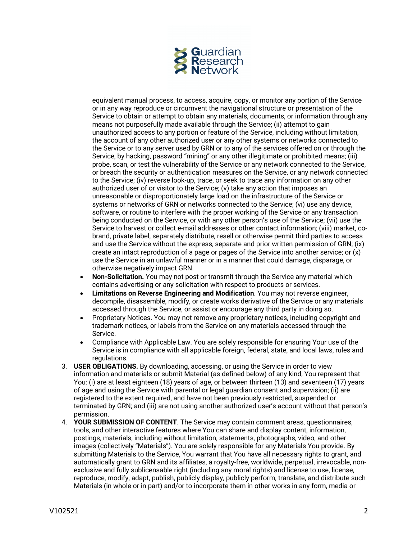

equivalent manual process, to access, acquire, copy, or monitor any portion of the Service or in any way reproduce or circumvent the navigational structure or presentation of the Service to obtain or attempt to obtain any materials, documents, or information through any means not purposefully made available through the Service; (ii) attempt to gain unauthorized access to any portion or feature of the Service, including without limitation, the account of any other authorized user or any other systems or networks connected to the Service or to any server used by GRN or to any of the services offered on or through the Service, by hacking, password "mining" or any other illegitimate or prohibited means; (iii) probe, scan, or test the vulnerability of the Service or any network connected to the Service, or breach the security or authentication measures on the Service, or any network connected to the Service; (iv) reverse look-up, trace, or seek to trace any information on any other authorized user of or visitor to the Service; (v) take any action that imposes an unreasonable or disproportionately large load on the infrastructure of the Service or systems or networks of GRN or networks connected to the Service; (vi) use any device, software, or routine to interfere with the proper working of the Service or any transaction being conducted on the Service, or with any other person's use of the Service; (vii) use the Service to harvest or collect e-mail addresses or other contact information; (viii) market, cobrand, private label, separately distribute, resell or otherwise permit third parties to access and use the Service without the express, separate and prior written permission of GRN; (ix) create an intact reproduction of a page or pages of the Service into another service; or (x) use the Service in an unlawful manner or in a manner that could damage, disparage, or otherwise negatively impact GRN.

- **Non-Solicitation.** You may not post or transmit through the Service any material which contains advertising or any solicitation with respect to products or services.
- **Limitations on Reverse Engineering and Modification**. You may not reverse engineer, decompile, disassemble, modify, or create works derivative of the Service or any materials accessed through the Service, or assist or encourage any third party in doing so.
- Proprietary Notices. You may not remove any proprietary notices, including copyright and trademark notices, or labels from the Service on any materials accessed through the Service.
- Compliance with Applicable Law. You are solely responsible for ensuring Your use of the Service is in compliance with all applicable foreign, federal, state, and local laws, rules and regulations.
- 3. **USER OBLIGATIONS.** By downloading, accessing, or using the Service in order to view information and materials or submit Material (as defined below) of any kind, You represent that You: (i) are at least eighteen (18) years of age, or between thirteen (13) and seventeen (17) years of age and using the Service with parental or legal guardian consent and supervision; (ii) are registered to the extent required, and have not been previously restricted, suspended or terminated by GRN; and (iii) are not using another authorized user's account without that person's permission.
- 4. **YOUR SUBMISSION OF CONTENT**. The Service may contain comment areas, questionnaires, tools, and other interactive features where You can share and display content, information, postings, materials, including without limitation, statements, photographs, video, and other images (collectively "Materials"). You are solely responsible for any Materials You provide. By submitting Materials to the Service, You warrant that You have all necessary rights to grant, and automatically grant to GRN and its affiliates, a royalty-free, worldwide, perpetual, irrevocable, nonexclusive and fully sublicensable right (including any moral rights) and license to use, license, reproduce, modify, adapt, publish, publicly display, publicly perform, translate, and distribute such Materials (in whole or in part) and/or to incorporate them in other works in any form, media or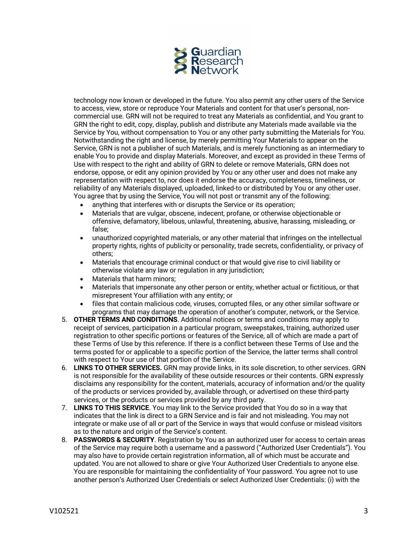

technology now known or developed in the future. You also permit any other users of the Service to access, view, store or reproduce Your Materials and content for that user's personal, noncommercial use. GRN will not be required to treat any Materials as confidential, and You grant to GRN the right to edit, copy, display, publish and distribute any Materials made available via the Service by You, without compensation to You or any other party submitting the Materials for You. Notwithstanding the right and license, by merely permitting Your Materials to appear on the Service, GRN is not a publisher of such Materials, and is merely functioning as an intermediary to enable You to provide and display Materials. Moreover, and except as provided in these Terms of Use with respect to the right and ability of GRN to delete or remove Materials, GRN does not endorse, oppose, or edit any opinion provided by You or any other user and does not make any representation with respect to, nor does it endorse the accuracy, completeness, timeliness, or reliability of any Materials displayed, uploaded, linked-to or distributed by You or any other user. You agree that by using the Service, You will not post or transmit any of the following:

- anything that interferes with or disrupts the Service or its operation;
- Materials that are vulgar, obscene, indecent, profane, or otherwise objectionable or offensive, defamatory, libelous, unlawful, threatening, abusive, harassing, misleading, or false;
- unauthorized copyrighted materials, or any other material that infringes on the intellectual property rights, rights of publicity or personality, trade secrets, confidentiality, or privacy of others;
- Materials that encourage criminal conduct or that would give rise to civil liability or otherwise violate any law or regulation in any jurisdiction;
- Materials that harm minors;
- Materials that impersonate any other person or entity, whether actual or fictitious, or that misrepresent Your affiliation with any entity; or
- files that contain malicious code, viruses, corrupted files, or any other similar software or programs that may damage the operation of another's computer, network, or the Service.
- 5. **OTHER TERMS AND CONDITIONS**. Additional notices or terms and conditions may apply to receipt of services, participation in a particular program, sweepstakes, training, authorized user registration to other specific portions or features of the Service, all of which are made a part of these Terms of Use by this reference. If there is a conflict between these Terms of Use and the terms posted for or applicable to a specific portion of the Service, the latter terms shall control with respect to Your use of that portion of the Service.
- 6. **LINKS TO OTHER SERVICES.** GRN may provide links, in its sole discretion, to other services. GRN is not responsible for the availability of these outside resources or their contents. GRN expressly disclaims any responsibility for the content, materials, accuracy of information and/or the quality of the products or services provided by, available through, or advertised on these third-party services, or the products or services provided by any third party.
- 7. **LINKS TO THIS SERVICE**. You may link to the Service provided that You do so in a way that indicates that the link is direct to a GRN Service and is fair and not misleading. You may not integrate or make use of all or part of the Service in ways that would confuse or mislead visitors as to the nature and origin of the Service's content.
- 8. **PASSWORDS & SECURITY**. Registration by You as an authorized user for access to certain areas of the Service may require both a username and a password ("Authorized User Credentials"). You may also have to provide certain registration information, all of which must be accurate and updated. You are not allowed to share or give Your Authorized User Credentials to anyone else. You are responsible for maintaining the confidentiality of Your password. You agree not to use another person's Authorized User Credentials or select Authorized User Credentials: (i) with the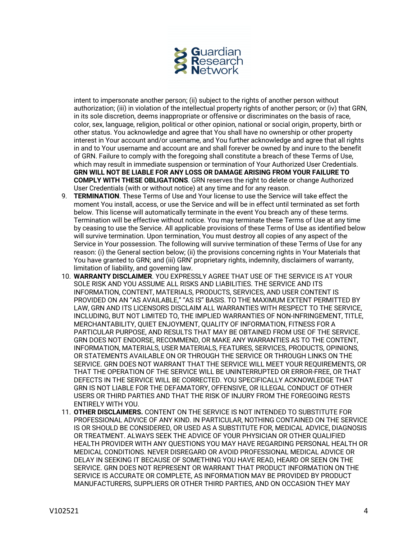

intent to impersonate another person; (ii) subject to the rights of another person without authorization; (iii) in violation of the intellectual property rights of another person; or (iv) that GRN, in its sole discretion, deems inappropriate or offensive or discriminates on the basis of race, color, sex, language, religion, political or other opinion, national or social origin, property, birth or other status. You acknowledge and agree that You shall have no ownership or other property interest in Your account and/or username, and You further acknowledge and agree that all rights in and to Your username and account are and shall forever be owned by and inure to the benefit of GRN. Failure to comply with the foregoing shall constitute a breach of these Terms of Use, which may result in immediate suspension or termination of Your Authorized User Credentials. **GRN WILL NOT BE LIABLE FOR ANY LOSS OR DAMAGE ARISING FROM YOUR FAILURE TO COMPLY WITH THESE OBLIGATIONS**. GRN reserves the right to delete or change Authorized User Credentials (with or without notice) at any time and for any reason.

- 9. **TERMINATION**. These Terms of Use and Your license to use the Service will take effect the moment You install, access, or use the Service and will be in effect until terminated as set forth below. This license will automatically terminate in the event You breach any of these terms. Termination will be effective without notice. You may terminate these Terms of Use at any time by ceasing to use the Service. All applicable provisions of these Terms of Use as identified below will survive termination. Upon termination, You must destroy all copies of any aspect of the Service in Your possession. The following will survive termination of these Terms of Use for any reason: (i) the General section below; (ii) the provisions concerning rights in Your Materials that You have granted to GRN; and (iii) GRN' proprietary rights, indemnity, disclaimers of warranty, limitation of liability, and governing law.
- 10. **WARRANTY DISCLAIMER**. YOU EXPRESSLY AGREE THAT USE OF THE SERVICE IS AT YOUR SOLE RISK AND YOU ASSUME ALL RISKS AND LIABILITIES. THE SERVICE AND ITS INFORMATION, CONTENT, MATERIALS, PRODUCTS, SERVICES, AND USER CONTENT IS PROVIDED ON AN "AS AVAILABLE," "AS IS" BASIS. TO THE MAXIMUM EXTENT PERMITTED BY LAW, GRN AND ITS LICENSORS DISCLAIM ALL WARRANTIES WITH RESPECT TO THE SERVICE, INCLUDING, BUT NOT LIMITED TO, THE IMPLIED WARRANTIES OF NON-INFRINGEMENT, TITLE, MERCHANTABILITY, QUIET ENJOYMENT, QUALITY OF INFORMATION, FITNESS FOR A PARTICULAR PURPOSE, AND RESULTS THAT MAY BE OBTAINED FROM USE OF THE SERVICE. GRN DOES NOT ENDORSE, RECOMMEND, OR MAKE ANY WARRANTIES AS TO THE CONTENT, INFORMATION, MATERIALS, USER MATERIALS, FEATURES, SERVICES, PRODUCTS, OPINIONS, OR STATEMENTS AVAILABLE ON OR THROUGH THE SERVICE OR THROUGH LINKS ON THE SERVICE. GRN DOES NOT WARRANT THAT THE SERVICE WILL MEET YOUR REQUIREMENTS, OR THAT THE OPERATION OF THE SERVICE WILL BE UNINTERRUPTED OR ERROR-FREE, OR THAT DEFECTS IN THE SERVICE WILL BE CORRECTED. YOU SPECIFICALLY ACKNOWLEDGE THAT GRN IS NOT LIABLE FOR THE DEFAMATORY, OFFENSIVE, OR ILLEGAL CONDUCT OF OTHER USERS OR THIRD PARTIES AND THAT THE RISK OF INJURY FROM THE FOREGOING RESTS ENTIRELY WITH YOU.
- 11. **OTHER DISCLAIMERS.** CONTENT ON THE SERVICE IS NOT INTENDED TO SUBSTITUTE FOR PROFESSIONAL ADVICE OF ANY KIND. IN PARTICULAR, NOTHING CONTAINED ON THE SERVICE IS OR SHOULD BE CONSIDERED, OR USED AS A SUBSTITUTE FOR, MEDICAL ADVICE, DIAGNOSIS OR TREATMENT. ALWAYS SEEK THE ADVICE OF YOUR PHYSICIAN OR OTHER QUALIFIED HEALTH PROVIDER WITH ANY QUESTIONS YOU MAY HAVE REGARDING PERSONAL HEALTH OR MEDICAL CONDITIONS. NEVER DISREGARD OR AVOID PROFESSIONAL MEDICAL ADVICE OR DELAY IN SEEKING IT BECAUSE OF SOMETHING YOU HAVE READ, HEARD OR SEEN ON THE SERVICE. GRN DOES NOT REPRESENT OR WARRANT THAT PRODUCT INFORMATION ON THE SERVICE IS ACCURATE OR COMPLETE, AS INFORMATION MAY BE PROVIDED BY PRODUCT MANUFACTURERS, SUPPLIERS OR OTHER THIRD PARTIES, AND ON OCCASION THEY MAY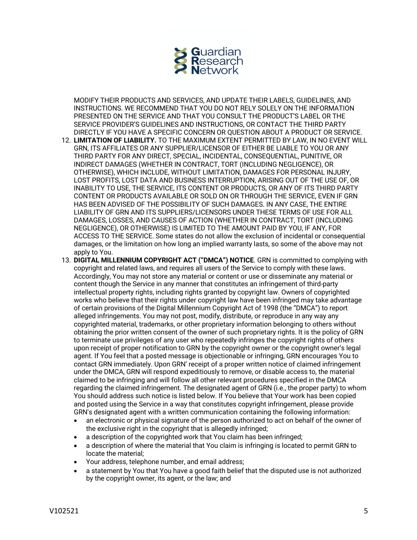

MODIFY THEIR PRODUCTS AND SERVICES, AND UPDATE THEIR LABELS, GUIDELINES, AND INSTRUCTIONS. WE RECOMMEND THAT YOU DO NOT RELY SOLELY ON THE INFORMATION PRESENTED ON THE SERVICE AND THAT YOU CONSULT THE PRODUCT'S LABEL OR THE SERVICE PROVIDER'S GUIDELINES AND INSTRUCTIONS, OR CONTACT THE THIRD PARTY DIRECTLY IF YOU HAVE A SPECIFIC CONCERN OR QUESTION ABOUT A PRODUCT OR SERVICE.

- 12. **LIMITATION OF LIABILITY.** TO THE MAXIMUM EXTENT PERMITTED BY LAW, IN NO EVENT WILL GRN, ITS AFFILIATES OR ANY SUPPLIER/LICENSOR OF EITHER BE LIABLE TO YOU OR ANY THIRD PARTY FOR ANY DIRECT, SPECIAL, INCIDENTAL, CONSEQUENTIAL, PUNITIVE, OR INDIRECT DAMAGES (WHETHER IN CONTRACT, TORT (INCLUDING NEGLIGENCE), OR OTHERWISE), WHICH INCLUDE, WITHOUT LIMITATION, DAMAGES FOR PERSONAL INJURY, LOST PROFITS, LOST DATA AND BUSINESS INTERRUPTION, ARISING OUT OF THE USE OF, OR INABILITY TO USE, THE SERVICE, ITS CONTENT OR PRODUCTS, OR ANY OF ITS THIRD PARTY CONTENT OR PRODUCTS AVAILABLE OR SOLD ON OR THROUGH THE SERVICE, EVEN IF GRN HAS BEEN ADVISED OF THE POSSIBILITY OF SUCH DAMAGES. IN ANY CASE, THE ENTIRE LIABILITY OF GRN AND ITS SUPPLIERS/LICENSORS UNDER THESE TERMS OF USE FOR ALL DAMAGES, LOSSES, AND CAUSES OF ACTION (WHETHER IN CONTRACT, TORT (INCLUDING NEGLIGENCE), OR OTHERWISE) IS LIMITED TO THE AMOUNT PAID BY YOU, IF ANY, FOR ACCESS TO THE SERVICE. Some states do not allow the exclusion of incidental or consequential damages, or the limitation on how long an implied warranty lasts, so some of the above may not apply to You.
- 13. **DIGITAL MILLENNIUM COPYRIGHT ACT ("DMCA") NOTICE**. GRN is committed to complying with copyright and related laws, and requires all users of the Service to comply with these laws. Accordingly, You may not store any material or content or use or disseminate any material or content though the Service in any manner that constitutes an infringement of third-party intellectual property rights, including rights granted by copyright law. Owners of copyrighted works who believe that their rights under copyright law have been infringed may take advantage of certain provisions of the Digital Millennium Copyright Act of 1998 (the "DMCA") to report alleged infringements. You may not post, modify, distribute, or reproduce in any way any copyrighted material, trademarks, or other proprietary information belonging to others without obtaining the prior written consent of the owner of such proprietary rights. It is the policy of GRN to terminate use privileges of any user who repeatedly infringes the copyright rights of others upon receipt of proper notification to GRN by the copyright owner or the copyright owner's legal agent. If You feel that a posted message is objectionable or infringing, GRN encourages You to contact GRN immediately. Upon GRN' receipt of a proper written notice of claimed infringement under the DMCA, GRN will respond expeditiously to remove, or disable access to, the material claimed to be infringing and will follow all other relevant procedures specified in the DMCA regarding the claimed infringement. The designated agent of GRN (i.e., the proper party) to whom You should address such notice is listed below. If You believe that Your work has been copied and posted using the Service in a way that constitutes copyright infringement, please provide GRN's designated agent with a written communication containing the following information:
	- an electronic or physical signature of the person authorized to act on behalf of the owner of the exclusive right in the copyright that is allegedly infringed;
	- a description of the copyrighted work that You claim has been infringed;
	- a description of where the material that You claim is infringing is located to permit GRN to locate the material;
	- Your address, telephone number, and email address;
	- a statement by You that You have a good faith belief that the disputed use is not authorized by the copyright owner, its agent, or the law; and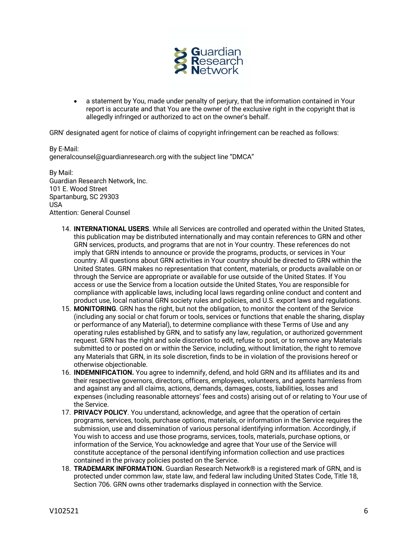

• a statement by You, made under penalty of perjury, that the information contained in Your report is accurate and that You are the owner of the exclusive right in the copyright that is allegedly infringed or authorized to act on the owner's behalf.

GRN' designated agent for notice of claims of copyright infringement can be reached as follows:

By E-Mail: generalcounsel@guardianresearch.org with the subject line "DMCA"

By Mail: Guardian Research Network, Inc. 101 E. Wood Street Spartanburg, SC 29303 USA Attention: General Counsel

- 14. **INTERNATIONAL USERS**. While all Services are controlled and operated within the United States, this publication may be distributed internationally and may contain references to GRN and other GRN services, products, and programs that are not in Your country. These references do not imply that GRN intends to announce or provide the programs, products, or services in Your country. All questions about GRN activities in Your country should be directed to GRN within the United States. GRN makes no representation that content, materials, or products available on or through the Service are appropriate or available for use outside of the United States. If You access or use the Service from a location outside the United States, You are responsible for compliance with applicable laws, including local laws regarding online conduct and content and product use, local national GRN society rules and policies, and U.S. export laws and regulations.
- 15. **MONITORING**. GRN has the right, but not the obligation, to monitor the content of the Service (including any social or chat forum or tools, services or functions that enable the sharing, display or performance of any Material), to determine compliance with these Terms of Use and any operating rules established by GRN, and to satisfy any law, regulation, or authorized government request. GRN has the right and sole discretion to edit, refuse to post, or to remove any Materials submitted to or posted on or within the Service, including, without limitation, the right to remove any Materials that GRN, in its sole discretion, finds to be in violation of the provisions hereof or otherwise objectionable.
- 16. **INDEMNIFICATION.** You agree to indemnify, defend, and hold GRN and its affiliates and its and their respective governors, directors, officers, employees, volunteers, and agents harmless from and against any and all claims, actions, demands, damages, costs, liabilities, losses and expenses (including reasonable attorneys' fees and costs) arising out of or relating to Your use of the Service.
- 17. **PRIVACY POLICY**. You understand, acknowledge, and agree that the operation of certain programs, services, tools, purchase options, materials, or information in the Service requires the submission, use and dissemination of various personal identifying information. Accordingly, if You wish to access and use those programs, services, tools, materials, purchase options, or information of the Service, You acknowledge and agree that Your use of the Service will constitute acceptance of the personal identifying information collection and use practices contained in the privacy policies posted on the Service.
- 18. **TRADEMARK INFORMATION.** Guardian Research Network® is a registered mark of GRN, and is protected under common law, state law, and federal law including United States Code, Title 18, Section 706. GRN owns other trademarks displayed in connection with the Service.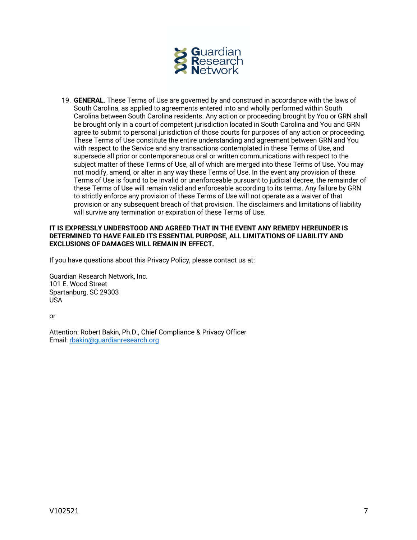

19. **GENERAL**. These Terms of Use are governed by and construed in accordance with the laws of South Carolina, as applied to agreements entered into and wholly performed within South Carolina between South Carolina residents. Any action or proceeding brought by You or GRN shall be brought only in a court of competent jurisdiction located in South Carolina and You and GRN agree to submit to personal jurisdiction of those courts for purposes of any action or proceeding. These Terms of Use constitute the entire understanding and agreement between GRN and You with respect to the Service and any transactions contemplated in these Terms of Use, and supersede all prior or contemporaneous oral or written communications with respect to the subject matter of these Terms of Use, all of which are merged into these Terms of Use. You may not modify, amend, or alter in any way these Terms of Use. In the event any provision of these Terms of Use is found to be invalid or unenforceable pursuant to judicial decree, the remainder of these Terms of Use will remain valid and enforceable according to its terms. Any failure by GRN to strictly enforce any provision of these Terms of Use will not operate as a waiver of that provision or any subsequent breach of that provision. The disclaimers and limitations of liability will survive any termination or expiration of these Terms of Use.

# **IT IS EXPRESSLY UNDERSTOOD AND AGREED THAT IN THE EVENT ANY REMEDY HEREUNDER IS DETERMINED TO HAVE FAILED ITS ESSENTIAL PURPOSE, ALL LIMITATIONS OF LIABILITY AND EXCLUSIONS OF DAMAGES WILL REMAIN IN EFFECT.**

If you have questions about this Privacy Policy, please contact us at:

Guardian Research Network, Inc. 101 E. Wood Street Spartanburg, SC 29303 USA

or

Attention: Robert Bakin, Ph.D., Chief Compliance & Privacy Officer Email: rbakin@guardianresearch.org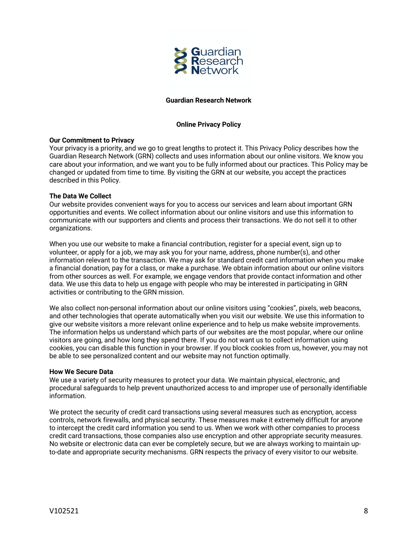

## **Guardian Research Network**

# **Online Privacy Policy**

## **Our Commitment to Privacy**

Your privacy is a priority, and we go to great lengths to protect it. This Privacy Policy describes how the Guardian Research Network (GRN) collects and uses information about our online visitors. We know you care about your information, and we want you to be fully informed about our practices. This Policy may be changed or updated from time to time. By visiting the GRN at our website, you accept the practices described in this Policy.

### **The Data We Collect**

Our website provides convenient ways for you to access our services and learn about important GRN opportunities and events. We collect information about our online visitors and use this information to communicate with our supporters and clients and process their transactions. We do not sell it to other organizations.

When you use our website to make a financial contribution, register for a special event, sign up to volunteer, or apply for a job, we may ask you for your name, address, phone number(s), and other information relevant to the transaction. We may ask for standard credit card information when you make a financial donation, pay for a class, or make a purchase. We obtain information about our online visitors from other sources as well. For example, we engage vendors that provide contact information and other data. We use this data to help us engage with people who may be interested in participating in GRN activities or contributing to the GRN mission.

We also collect non-personal information about our online visitors using "cookies", pixels, web beacons, and other technologies that operate automatically when you visit our website. We use this information to give our website visitors a more relevant online experience and to help us make website improvements. The information helps us understand which parts of our websites are the most popular, where our online visitors are going, and how long they spend there. If you do not want us to collect information using cookies, you can disable this function in your browser. If you block cookies from us, however, you may not be able to see personalized content and our website may not function optimally.

#### **How We Secure Data**

We use a variety of security measures to protect your data. We maintain physical, electronic, and procedural safeguards to help prevent unauthorized access to and improper use of personally identifiable information.

We protect the security of credit card transactions using several measures such as encryption, access controls, network firewalls, and physical security. These measures make it extremely difficult for anyone to intercept the credit card information you send to us. When we work with other companies to process credit card transactions, those companies also use encryption and other appropriate security measures. No website or electronic data can ever be completely secure, but we are always working to maintain upto-date and appropriate security mechanisms. GRN respects the privacy of every visitor to our website.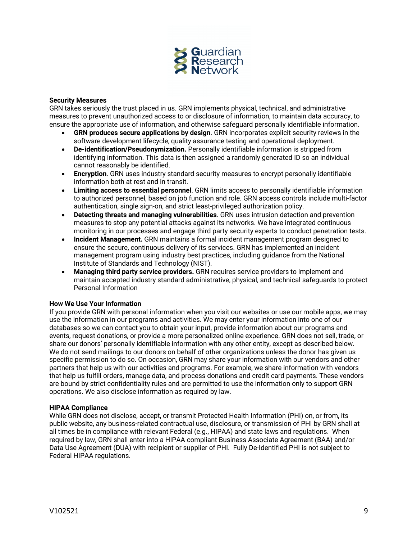

### **Security Measures**

GRN takes seriously the trust placed in us. GRN implements physical, technical, and administrative measures to prevent unauthorized access to or disclosure of information, to maintain data accuracy, to ensure the appropriate use of information, and otherwise safeguard personally identifiable information.

- **GRN produces secure applications by design**. GRN incorporates explicit security reviews in the software development lifecycle, quality assurance testing and operational deployment.
- **De-identification/Pseudonymization.** Personally identifiable information is stripped from identifying information. This data is then assigned a randomly generated ID so an individual cannot reasonably be identified.
- **Encryption**. GRN uses industry standard security measures to encrypt personally identifiable information both at rest and in transit.
- **Limiting access to essential personnel**. GRN limits access to personally identifiable information to authorized personnel, based on job function and role. GRN access controls include multi-factor authentication, single sign-on, and strict least-privileged authorization policy.
- **Detecting threats and managing vulnerabilities**. GRN uses intrusion detection and prevention measures to stop any potential attacks against its networks. We have integrated continuous monitoring in our processes and engage third party security experts to conduct penetration tests.
- **Incident Management.** GRN maintains a formal incident management program designed to ensure the secure, continuous delivery of its services. GRN has implemented an incident management program using industry best practices, including guidance from the National Institute of Standards and Technology (NIST).
- **Managing third party service providers.** GRN requires service providers to implement and maintain accepted industry standard administrative, physical, and technical safeguards to protect Personal Information

## **How We Use Your Information**

If you provide GRN with personal information when you visit our websites or use our mobile apps, we may use the information in our programs and activities. We may enter your information into one of our databases so we can contact you to obtain your input, provide information about our programs and events, request donations, or provide a more personalized online experience. GRN does not sell, trade, or share our donors' personally identifiable information with any other entity, except as described below. We do not send mailings to our donors on behalf of other organizations unless the donor has given us specific permission to do so. On occasion, GRN may share your information with our vendors and other partners that help us with our activities and programs. For example, we share information with vendors that help us fulfill orders, manage data, and process donations and credit card payments. These vendors are bound by strict confidentiality rules and are permitted to use the information only to support GRN operations. We also disclose information as required by law.

#### **HIPAA Compliance**

While GRN does not disclose, accept, or transmit Protected Health Information (PHI) on, or from, its public website, any business-related contractual use, disclosure, or transmission of PHI by GRN shall at all times be in compliance with relevant Federal (e.g., HIPAA) and state laws and regulations. When required by law, GRN shall enter into a HIPAA compliant Business Associate Agreement (BAA) and/or Data Use Agreement (DUA) with recipient or supplier of PHI. Fully De-Identified PHI is not subject to Federal HIPAA regulations.